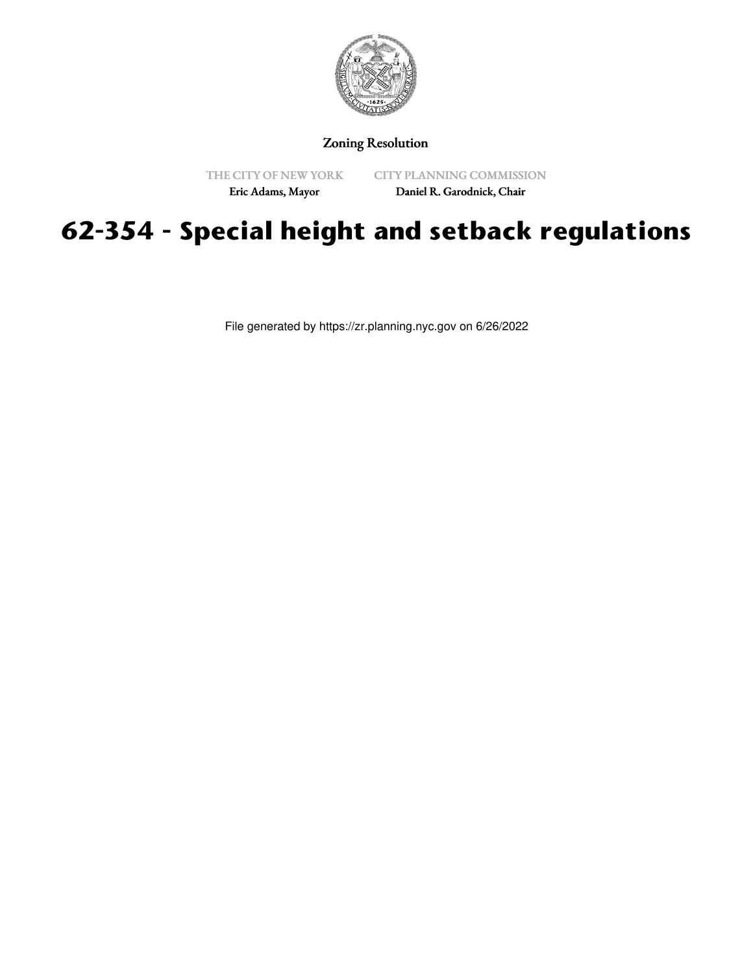

Zoning Resolution

THE CITY OF NEW YORK Eric Adams, Mayor

CITY PLANNING COMMISSION Daniel R. Garodnick, Chair

## **62-354 - Special height and setback regulations**

File generated by https://zr.planning.nyc.gov on 6/26/2022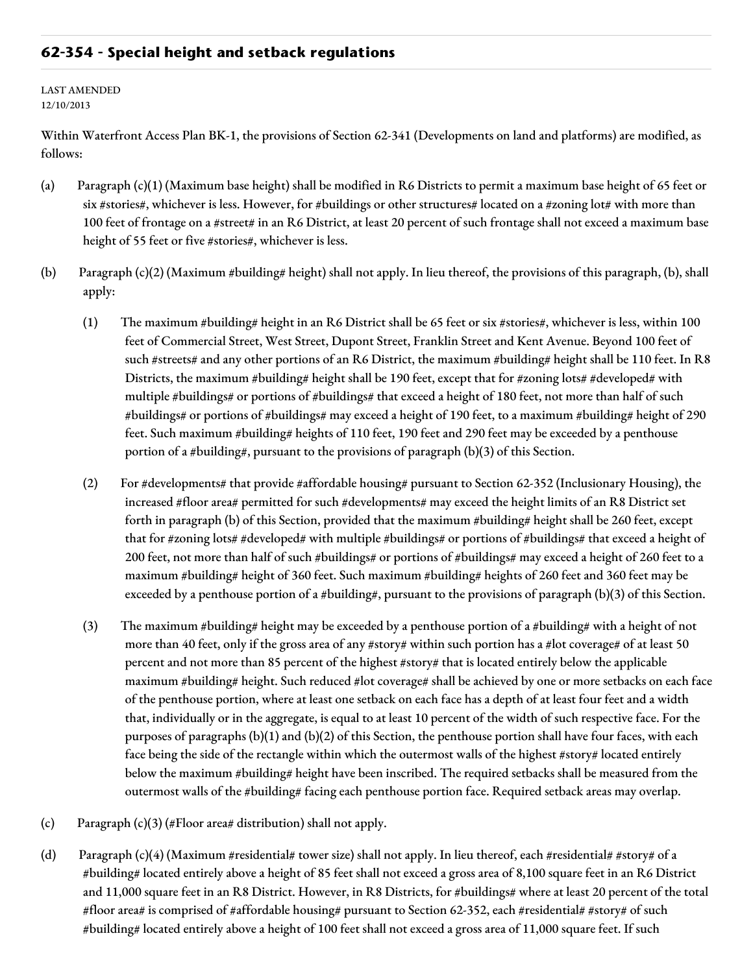## **62-354 - Special height and setback regulations**

LAST AMENDED 12/10/2013

Within Waterfront Access Plan BK-1, the provisions of Section 62-341 (Developments on land and platforms) are modified, as follows:

- (a) Paragraph (c)(1) (Maximum base height) shall be modified in R6 Districts to permit a maximum base height of 65 feet or six #stories#, whichever is less. However, for #buildings or other structures# located on a #zoning lot# with more than 100 feet of frontage on a #street# in an R6 District, at least 20 percent of such frontage shall not exceed a maximum base height of 55 feet or five #stories#, whichever is less.
- (b) Paragraph  $(c)(2)$  (Maximum #building# height) shall not apply. In lieu thereof, the provisions of this paragraph, (b), shall apply:
	- (1) The maximum #building# height in an R6 District shall be 65 feet or six #stories#, whichever is less, within 100 feet of Commercial Street, West Street, Dupont Street, Franklin Street and Kent Avenue. Beyond 100 feet of such #streets# and any other portions of an R6 District, the maximum #building# height shall be 110 feet. In R8 Districts, the maximum #building# height shall be 190 feet, except that for #zoning lots# #developed# with multiple #buildings# or portions of #buildings# that exceed a height of 180 feet, not more than half of such #buildings# or portions of #buildings# may exceed a height of 190 feet, to a maximum #building# height of 290 feet. Such maximum #building# heights of 110 feet, 190 feet and 290 feet may be exceeded by a penthouse portion of a #building#, pursuant to the provisions of paragraph (b)(3) of this Section.
	- (2) For #developments# that provide #affordable housing# pursuant to Section 62-352 (Inclusionary Housing), the increased #floor area# permitted for such #developments# may exceed the height limits of an R8 District set forth in paragraph (b) of this Section, provided that the maximum #building# height shall be 260 feet, except that for #zoning lots# #developed# with multiple #buildings# or portions of #buildings# that exceed a height of 200 feet, not more than half of such #buildings# or portions of #buildings# may exceed a height of 260 feet to a maximum #building# height of 360 feet. Such maximum #building# heights of 260 feet and 360 feet may be exceeded by a penthouse portion of a #building#, pursuant to the provisions of paragraph (b)(3) of this Section.
	- (3) The maximum #building# height may be exceeded by a penthouse portion of a #building# with a height of not more than 40 feet, only if the gross area of any #story# within such portion has a #lot coverage# of at least 50 percent and not more than 85 percent of the highest #story# that is located entirely below the applicable maximum #building# height. Such reduced #lot coverage# shall be achieved by one or more setbacks on each face of the penthouse portion, where at least one setback on each face has a depth of at least four feet and a width that, individually or in the aggregate, is equal to at least 10 percent of the width of such respective face. For the purposes of paragraphs (b)(1) and (b)(2) of this Section, the penthouse portion shall have four faces, with each face being the side of the rectangle within which the outermost walls of the highest #story# located entirely below the maximum #building# height have been inscribed. The required setbacks shall be measured from the outermost walls of the #building# facing each penthouse portion face. Required setback areas may overlap.
- (c) Paragraph (c)(3) (#Floor area# distribution) shall not apply.
- (d) Paragraph (c)(4) (Maximum #residential# tower size) shall not apply. In lieu thereof, each #residential# #story# of a #building# located entirely above a height of 85 feet shall not exceed a gross area of 8,100 square feet in an R6 District and 11,000 square feet in an R8 District. However, in R8 Districts, for #buildings# where at least 20 percent of the total #floor area# is comprised of #affordable housing# pursuant to Section 62-352, each #residential# #story# of such #building# located entirely above a height of 100 feet shall not exceed a gross area of 11,000 square feet. If such